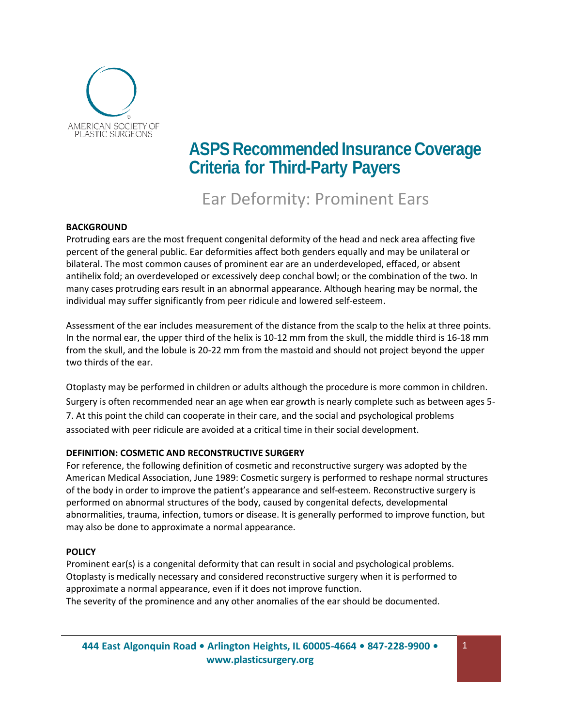

# **ASPS** Recommended Insurance Coverage **Criteria for Third-Party Payers**

## Ear Deformity: Prominent Ears

### **BACKGROUND**

Protruding ears are the most frequent congenital deformity of the head and neck area affecting five percent of the general public. Ear deformities affect both genders equally and may be unilateral or bilateral. The most common causes of prominent ear are an underdeveloped, effaced, or absent antihelix fold; an overdeveloped or excessively deep conchal bowl; or the combination of the two. In many cases protruding ears result in an abnormal appearance. Although hearing may be normal, the individual may suffer significantly from peer ridicule and lowered self-esteem.

Assessment of the ear includes measurement of the distance from the scalp to the helix at three points. In the normal ear, the upper third of the helix is 10-12 mm from the skull, the middle third is 16-18 mm from the skull, and the lobule is 20-22 mm from the mastoid and should not project beyond the upper two thirds of the ear.

Otoplasty may be performed in children or adults although the procedure is more common in children. Surgery is often recommended near an age when ear growth is nearly complete such as between ages 5- 7. At this point the child can cooperate in their care, and the social and psychological problems associated with peer ridicule are avoided at a critical time in their social development.

### **DEFINITION: COSMETIC AND RECONSTRUCTIVE SURGERY**

For reference, the following definition of cosmetic and reconstructive surgery was adopted by the American Medical Association, June 1989: Cosmetic surgery is performed to reshape normal structures of the body in order to improve the patient's appearance and self-esteem. Reconstructive surgery is performed on abnormal structures of the body, caused by congenital defects, developmental abnormalities, trauma, infection, tumors or disease. It is generally performed to improve function, but may also be done to approximate a normal appearance.

### **POLICY**

Prominent ear(s) is a congenital deformity that can result in social and psychological problems. Otoplasty is medically necessary and considered reconstructive surgery when it is performed to approximate a normal appearance, even if it does not improve function. The severity of the prominence and any other anomalies of the ear should be documented.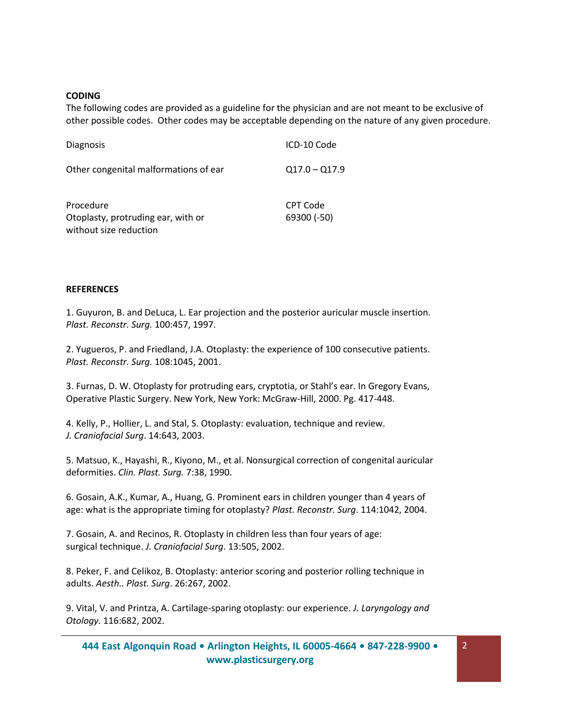#### **CODING**

The following codes are provided as a guideline for the physician and are not meant to be exclusive of other possible codes. Other codes may be acceptable depending on the nature of any given procedure.

| <b>Diagnosis</b>                                                          | ICD-10 Code             |
|---------------------------------------------------------------------------|-------------------------|
| Other congenital malformations of ear                                     | $Q17.0 - Q17.9$         |
| Procedure<br>Otoplasty, protruding ear, with or<br>without size reduction | CPT Code<br>69300 (-50) |

#### **REFERENCES**

1. Guyuron, B. and DeLuca, L. Ear projection and the posterior auricular muscle insertion. *Plast. Reconstr. Surg.* 100:457, 1997.

2. Yugueros, P. and Friedland, J.A. Otoplasty: the experience of 100 consecutive patients. *Plast. Reconstr. Surg.* 108:1045, 2001.

3. Furnas, D. W. Otoplasty for protruding ears, cryptotia, or Stahl's ear. In Gregory Evans, Operative Plastic Surgery. New York, New York: McGraw-Hill, 2000. Pg. 417-448.

4. Kelly, P., Hollier, L. and Stal, S. Otoplasty: evaluation, technique and review. *J. Craniofacial Surg*. 14:643, 2003.

5. Matsuo, K., Hayashi, R., Kiyono, M., et al. Nonsurgical correction of congenital auricular deformities. *Clin. Plast. Surg.* 7:38, 1990.

6. Gosain, A.K., Kumar, A., Huang, G. Prominent ears in children younger than 4 years of age: what is the appropriate timing for otoplasty? *Plast. Reconstr. Surg*. 114:1042, 2004.

7. Gosain, A. and Recinos, R. Otoplasty in children less than four years of age: surgical technique. *J. Craniofacial Surg*. 13:505, 2002.

8. Peker, F. and Celikoz, B. Otoplasty: anterior scoring and posterior rolling technique in adults. *Aesth.. Plast. Surg*. 26:267, 2002.

9. Vital, V. and Printza, A. Cartilage-sparing otoplasty: our experience. *J. Laryngology and Otology.* 116:682, 2002.